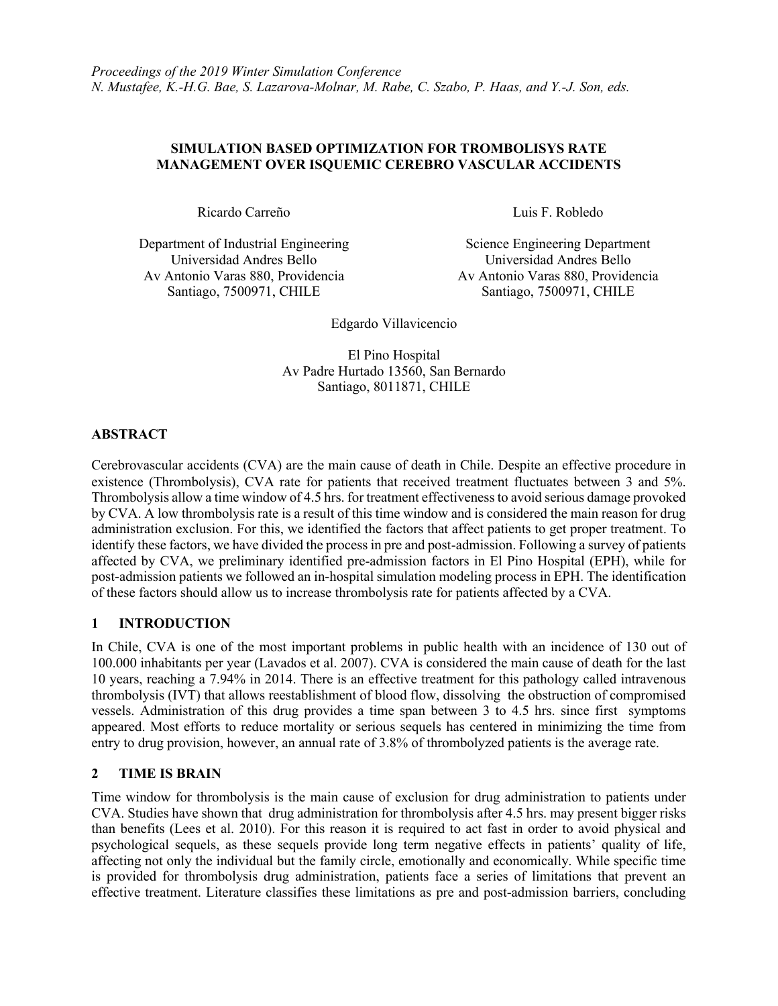## **SIMULATION BASED OPTIMIZATION FOR TROMBOLISYS RATE MANAGEMENT OVER ISQUEMIC CEREBRO VASCULAR ACCIDENTS**

Ricardo Carreño Luis F. Robledo

Department of Industrial Engineering Science Engineering Department Universidad Andres Bello Universidad Andres Bello Av Antonio Varas 880, Providencia Santiago, 7500971, CHILE

Av Antonio Varas 880, Providencia Santiago, 7500971, CHILE

Edgardo Villavicencio

El Pino Hospital Av Padre Hurtado 13560, San Bernardo Santiago, 8011871, CHILE

### **ABSTRACT**

Cerebrovascular accidents (CVA) are the main cause of death in Chile. Despite an effective procedure in existence (Thrombolysis), CVA rate for patients that received treatment fluctuates between 3 and 5%. Thrombolysis allow a time window of 4.5 hrs. for treatment effectiveness to avoid serious damage provoked by CVA. A low thrombolysis rate is a result of this time window and is considered the main reason for drug administration exclusion. For this, we identified the factors that affect patients to get proper treatment. To identify these factors, we have divided the process in pre and post-admission. Following a survey of patients affected by CVA, we preliminary identified pre-admission factors in El Pino Hospital (EPH), while for post-admission patients we followed an in-hospital simulation modeling process in EPH. The identification of these factors should allow us to increase thrombolysis rate for patients affected by a CVA.

# **1 INTRODUCTION**

In Chile, CVA is one of the most important problems in public health with an incidence of 130 out of 100.000 inhabitants per year (Lavados et al. 2007). CVA is considered the main cause of death for the last 10 years, reaching a 7.94% in 2014. There is an effective treatment for this pathology called intravenous thrombolysis (IVT) that allows reestablishment of blood flow, dissolving the obstruction of compromised vessels. Administration of this drug provides a time span between 3 to 4.5 hrs. since first symptoms appeared. Most efforts to reduce mortality or serious sequels has centered in minimizing the time from entry to drug provision, however, an annual rate of 3.8% of thrombolyzed patients is the average rate.

### **2 TIME IS BRAIN**

Time window for thrombolysis is the main cause of exclusion for drug administration to patients under CVA. Studies have shown that drug administration for thrombolysis after 4.5 hrs. may present bigger risks than benefits (Lees et al. 2010). For this reason it is required to act fast in order to avoid physical and psychological sequels, as these sequels provide long term negative effects in patients' quality of life, affecting not only the individual but the family circle, emotionally and economically. While specific time is provided for thrombolysis drug administration, patients face a series of limitations that prevent an effective treatment. Literature classifies these limitations as pre and post-admission barriers, concluding